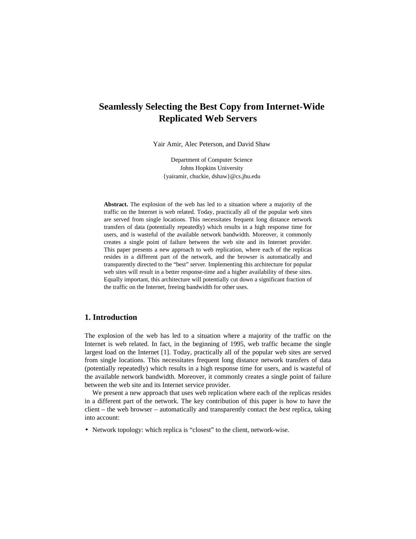# **Seamlessly Selecting the Best Copy from Internet-Wide Replicated Web Servers**

Yair Amir, Alec Peterson, and David Shaw

Department of Computer Science Johns Hopkins University {yairamir, chuckie, dshaw}@cs.jhu.edu

**Abstract.** The explosion of the web has led to a situation where a majority of the traffic on the Internet is web related. Today, practically all of the popular web sites are served from single locations. This necessitates frequent long distance network transfers of data (potentially repeatedly) which results in a high response time for users, and is wasteful of the available network bandwidth. Moreover, it commonly creates a single point of failure between the web site and its Internet provider. This paper presents a new approach to web replication, where each of the replicas resides in a different part of the network, and the browser is automatically and transparently directed to the "best" server. Implementing this architecture for popular web sites will result in a better response-time and a higher availability of these sites. Equally important, this architecture will potentially cut down a significant fraction of the traffic on the Internet, freeing bandwidth for other uses.

# **1. Introduction**

The explosion of the web has led to a situation where a majority of the traffic on the Internet is web related. In fact, in the beginning of 1995, web traffic became the single largest load on the Internet [1]. Today, practically all of the popular web sites are served from single locations. This necessitates frequent long distance network transfers of data (potentially repeatedly) which results in a high response time for users, and is wasteful of the available network bandwidth. Moreover, it commonly creates a single point of failure between the web site and its Internet service provider.

We present a new approach that uses web replication where each of the replicas resides in a different part of the network. The key contribution of this paper is how to have the client – the web browser – automatically and transparently contact the *best* replica, taking into account:

• Network topology: which replica is "closest" to the client, network-wise.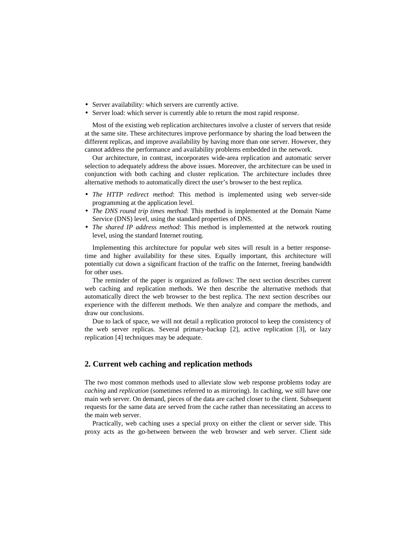- Server availability: which servers are currently active.
- Server load: which server is currently able to return the most rapid response.

Most of the existing web replication architectures involve a cluster of servers that reside at the same site. These architectures improve performance by sharing the load between the different replicas, and improve availability by having more than one server. However, they cannot address the performance and availability problems embedded in the network.

Our architecture, in contrast, incorporates wide-area replication and automatic server selection to adequately address the above issues. Moreover, the architecture can be used in conjunction with both caching and cluster replication. The architecture includes three alternative methods to automatically direct the user's browser to the best replica.

- *The HTTP redirect method*: This method is implemented using web server-side programming at the application level.
- *The DNS round trip times method*: This method is implemented at the Domain Name Service (DNS) level, using the standard properties of DNS.
- *The shared IP address method*: This method is implemented at the network routing level, using the standard Internet routing.

Implementing this architecture for popular web sites will result in a better responsetime and higher availability for these sites. Equally important, this architecture will potentially cut down a significant fraction of the traffic on the Internet, freeing bandwidth for other uses.

The reminder of the paper is organized as follows: The next section describes current web caching and replication methods. We then describe the alternative methods that automatically direct the web browser to the best replica. The next section describes our experience with the different methods. We then analyze and compare the methods, and draw our conclusions.

Due to lack of space, we will not detail a replication protocol to keep the consistency of the web server replicas. Several primary-backup [2], active replication [3], or lazy replication [4] techniques may be adequate.

## **2. Current web caching and replication methods**

The two most common methods used to alleviate slow web response problems today are *caching* and *replication* (sometimes referred to as mirroring). In caching, we still have one main web server. On demand, pieces of the data are cached closer to the client. Subsequent requests for the same data are served from the cache rather than necessitating an access to the main web server.

Practically, web caching uses a special proxy on either the client or server side. This proxy acts as the go-between between the web browser and web server. Client side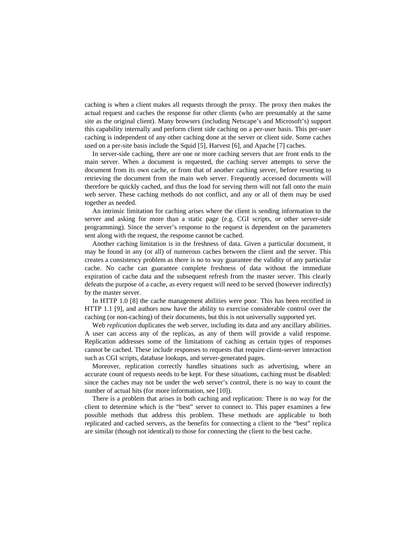caching is when a client makes all requests through the proxy. The proxy then makes the actual request and caches the response for other clients (who are presumably at the same site as the original client). Many browsers (including Netscape's and Microsoft's) support this capability internally and perform client side caching on a per-user basis. This per-user caching is independent of any other caching done at the server or client side. Some caches used on a per-site basis include the Squid [5], Harvest [6], and Apache [7] caches.

In server-side caching, there are one or more caching servers that are front ends to the main server. When a document is requested, the caching server attempts to serve the document from its own cache, or from that of another caching server, before resorting to retrieving the document from the main web server. Frequently accessed documents will therefore be quickly cached, and thus the load for serving them will not fall onto the main web server. These caching methods do not conflict, and any or all of them may be used together as needed.

An intrinsic limitation for caching arises where the client is sending information to the server and asking for more than a static page (e.g. CGI scripts, or other server-side programming). Since the server's response to the request is dependent on the parameters sent along with the request, the response cannot be cached.

Another caching limitation is in the freshness of data. Given a particular document, it may be found in any (or all) of numerous caches between the client and the server. This creates a consistency problem as there is no to way guarantee the validity of any particular cache. No cache can guarantee complete freshness of data without the immediate expiration of cache data and the subsequent refresh from the master server. This clearly defeats the purpose of a cache, as every request will need to be served (however indirectly) by the master server.

In HTTP 1.0 [8] the cache management abilities were poor. This has been rectified in HTTP 1.1 [9], and authors now have the ability to exercise considerable control over the caching (or non-caching) of their documents, but this is not universally supported yet.

Web *replication* duplicates the web server, including its data and any ancillary abilities. A user can access any of the replicas, as any of them will provide a valid response. Replication addresses some of the limitations of caching as certain types of responses cannot be cached. These include responses to requests that require client-server interaction such as CGI scripts, database lookups, and server-generated pages.

Moreover, replication correctly handles situations such as advertising, where an accurate count of requests needs to be kept. For these situations, caching must be disabled: since the caches may not be under the web server's control, there is no way to count the number of actual hits (for more information, see [10]).

There is a problem that arises in both caching and replication: There is no way for the client to determine which is the "best" server to connect to. This paper examines a few possible methods that address this problem. These methods are applicable to both replicated and cached servers, as the benefits for connecting a client to the "best" replica are similar (though not identical) to those for connecting the client to the best cache.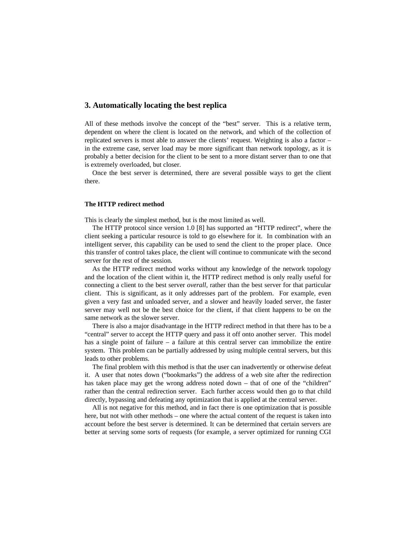### **3. Automatically locating the best replica**

All of these methods involve the concept of the "best" server. This is a relative term, dependent on where the client is located on the network, and which of the collection of replicated servers is most able to answer the clients' request. Weighting is also a factor – in the extreme case, server load may be more significant than network topology, as it is probably a better decision for the client to be sent to a more distant server than to one that is extremely overloaded, but closer.

Once the best server is determined, there are several possible ways to get the client there.

### **The HTTP redirect method**

This is clearly the simplest method, but is the most limited as well.

The HTTP protocol since version 1.0 [8] has supported an "HTTP redirect", where the client seeking a particular resource is told to go elsewhere for it. In combination with an intelligent server, this capability can be used to send the client to the proper place. Once this transfer of control takes place, the client will continue to communicate with the second server for the rest of the session.

As the HTTP redirect method works without any knowledge of the network topology and the location of the client within it, the HTTP redirect method is only really useful for connecting a client to the best server *overall*, rather than the best server for that particular client. This is significant, as it only addresses part of the problem. For example, even given a very fast and unloaded server, and a slower and heavily loaded server, the faster server may well not be the best choice for the client, if that client happens to be on the same network as the slower server.

There is also a major disadvantage in the HTTP redirect method in that there has to be a "central" server to accept the HTTP query and pass it off onto another server. This model has a single point of failure  $-$  a failure at this central server can immobilize the entire system. This problem can be partially addressed by using multiple central servers, but this leads to other problems.

The final problem with this method is that the user can inadvertently or otherwise defeat it. A user that notes down ("bookmarks") the address of a web site after the redirection has taken place may get the wrong address noted down – that of one of the "children" rather than the central redirection server. Each further access would then go to that child directly, bypassing and defeating any optimization that is applied at the central server.

All is not negative for this method, and in fact there is one optimization that is possible here, but not with other methods – one where the actual content of the request is taken into account before the best server is determined. It can be determined that certain servers are better at serving some sorts of requests (for example, a server optimized for running CGI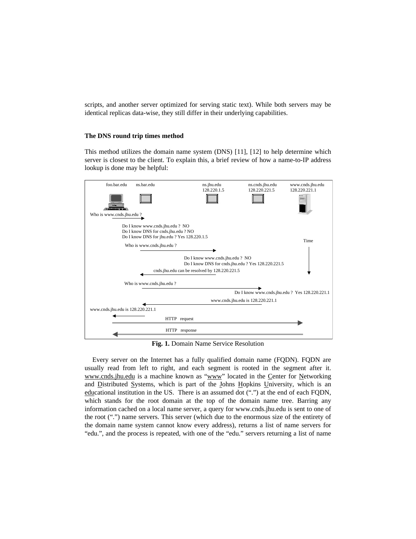scripts, and another server optimized for serving static text). While both servers may be identical replicas data-wise, they still differ in their underlying capabilities.

#### **The DNS round trip times method**

This method utilizes the domain name system (DNS) [11], [12] to help determine which server is closest to the client. To explain this, a brief review of how a name-to-IP address lookup is done may be helpful:



**Fig. 1.** Domain Name Service Resolution

Every server on the Internet has a fully qualified domain name (FQDN). FQDN are usually read from left to right, and each segment is rooted in the segment after it. www.cnds.jhu.edu is a machine known as "www" located in the Center for Networking and Distributed Systems, which is part of the Johns Hopkins University, which is an educational institution in the US. There is an assumed dot (".") at the end of each FQDN, which stands for the root domain at the top of the domain name tree. Barring any information cached on a local name server, a query for www.cnds.jhu.edu is sent to one of the root (".") name servers. This server (which due to the enormous size of the entirety of the domain name system cannot know every address), returns a list of name servers for "edu.", and the process is repeated, with one of the "edu." servers returning a list of name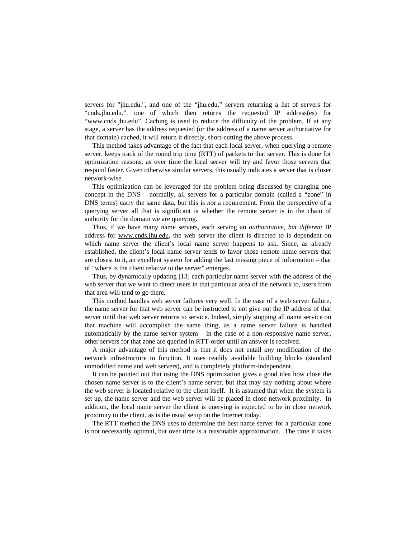servers for "jhu.edu.", and one of the "jhu.edu." servers returning a list of servers for "cnds.jhu.edu.", one of which then returns the requested IP address(es) for "www.cnds.jhu.edu". Caching is used to reduce the difficulty of the problem. If at any stage, a server has the address requested (or the address of a name server authoritative for that domain) cached, it will return it directly, short-cutting the above process.

This method takes advantage of the fact that each local server, when querying a remote server, keeps track of the round trip time (RTT) of packets to that server. This is done for optimization reasons, as over time the local server will try and favor those servers that respond faster. Given otherwise similar servers, this usually indicates a server that is closer network-wise.

This optimization can be leveraged for the problem being discussed by changing one concept in the DNS – normally, all servers for a particular domain (called a "zone" in DNS terms) carry the same data, but this is *not* a requirement. From the perspective of a querying server all that is significant is whether the remote server is in the chain of authority for the domain we are querying.

Thus, if we have many name servers, each serving an *authoritative, but different* IP address for www.cnds.jhu.edu, the web server the client is directed to is dependent on which name server the client's local name server happens to ask. Since, as already established, the client's local name server tends to favor those remote name servers that are closest to it, an excellent system for adding the last missing piece of information – that of "where is the client relative to the server" emerges.

Thus, by dynamically updating [13] each particular name server with the address of the web server that we want to direct users in that particular area of the network to, users from that area will tend to go there.

This method handles web server failures very well. In the case of a web server failure, the name server for that web server can be instructed to not give out the IP address of that server until that web server returns to service. Indeed, simply stopping all name service on that machine will accomplish the same thing, as a name server failure is handled automatically by the name server system – in the case of a non-responsive name server, other servers for that zone are queried in RTT-order until an answer is received.

A major advantage of this method is that it does not entail *any* modification of the network infrastructure to function. It uses readily available building blocks (standard unmodified name and web servers), and is completely platform-independent.

It can be pointed out that using the DNS optimization gives a good idea how close the chosen name server is to the client's name server, but that may say nothing about where the web server is located relative to the client itself. It is assumed that when the system is set up, the name server and the web server will be placed in close network proximity. In addition, the local name server the client is querying is expected to be in close network proximity to the client, as is the usual setup on the Internet today.

The RTT method the DNS uses to determine the best name server for a particular zone is not necessarily optimal, but over time is a reasonable approximation. The time it takes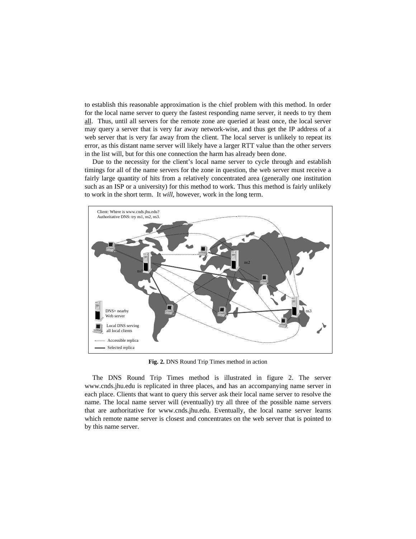to establish this reasonable approximation is the chief problem with this method. In order for the local name server to query the fastest responding name server, it needs to try them all. Thus, until all servers for the remote zone are queried at least once, the local server may query a server that is very far away network-wise, and thus get the IP address of a web server that is very far away from the client. The local server is unlikely to repeat its error, as this distant name server will likely have a larger RTT value than the other servers in the list will, but for this one connection the harm has already been done.

Due to the necessity for the client's local name server to cycle through and establish timings for all of the name servers for the zone in question, the web server must receive a fairly large quantity of hits from a relatively concentrated area (generally one institution such as an ISP or a university) for this method to work. Thus this method is fairly unlikely to work in the short term. It *will*, however, work in the long term.



**Fig. 2.** DNS Round Trip Times method in action

The DNS Round Trip Times method is illustrated in figure 2. The server www.cnds.jhu.edu is replicated in three places, and has an accompanying name server in each place. Clients that want to query this server ask their local name server to resolve the name. The local name server will (eventually) try all three of the possible name servers that are authoritative for www.cnds.jhu.edu. Eventually, the local name server learns which remote name server is closest and concentrates on the web server that is pointed to by this name server.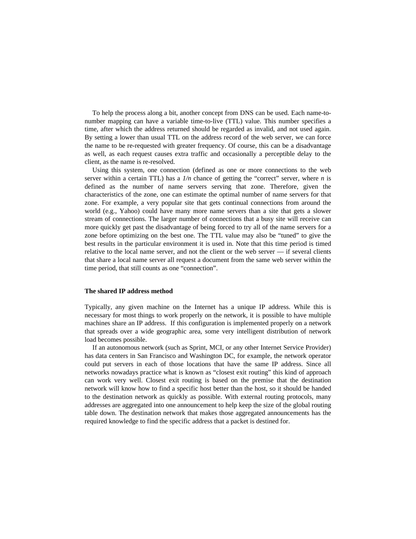To help the process along a bit, another concept from DNS can be used. Each name-tonumber mapping can have a variable time-to-live (TTL) value. This number specifies a time, after which the address returned should be regarded as invalid, and not used again. By setting a lower than usual TTL on the address record of the web server, we can force the name to be re-requested with greater frequency. Of course, this can be a disadvantage as well, as each request causes extra traffic and occasionally a perceptible delay to the client, as the name is re-resolved.

Using this system, one connection (defined as one or more connections to the web server within a certain TTL) has a *1/n* chance of getting the "correct" server, where *n* is defined as the number of name servers serving that zone. Therefore, given the characteristics of the zone, one can estimate the optimal number of name servers for that zone. For example, a very popular site that gets continual connections from around the world (e.g., Yahoo) could have many more name servers than a site that gets a slower stream of connections. The larger number of connections that a busy site will receive can more quickly get past the disadvantage of being forced to try all of the name servers for a zone before optimizing on the best one. The TTL value may also be "tuned" to give the best results in the particular environment it is used in. Note that this time period is timed relative to the local name server, and not the client or the web server — if several clients that share a local name server all request a document from the same web server within the time period, that still counts as one "connection".

#### **The shared IP address method**

Typically, any given machine on the Internet has a unique IP address. While this is necessary for most things to work properly on the network, it is possible to have multiple machines share an IP address. If this configuration is implemented properly on a network that spreads over a wide geographic area, some very intelligent distribution of network load becomes possible.

If an autonomous network (such as Sprint, MCI, or any other Internet Service Provider) has data centers in San Francisco and Washington DC, for example, the network operator could put servers in each of those locations that have the same IP address. Since all networks nowadays practice what is known as "closest exit routing" this kind of approach can work very well. Closest exit routing is based on the premise that the destination network will know how to find a specific host better than the host, so it should be handed to the destination network as quickly as possible. With external routing protocols, many addresses are aggregated into one announcement to help keep the size of the global routing table down. The destination network that makes those aggregated announcements has the required knowledge to find the specific address that a packet is destined for.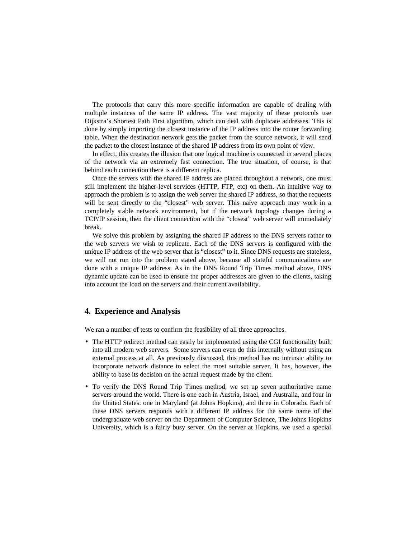The protocols that carry this more specific information are capable of dealing with multiple instances of the same IP address. The vast majority of these protocols use Dijkstra's Shortest Path First algorithm, which can deal with duplicate addresses. This is done by simply importing the closest instance of the IP address into the router forwarding table. When the destination network gets the packet from the source network, it will send the packet to the closest instance of the shared IP address from its own point of view.

In effect, this creates the illusion that one logical machine is connected in several places of the network via an extremely fast connection. The true situation, of course, is that behind each connection there is a different replica.

Once the servers with the shared IP address are placed throughout a network, one must still implement the higher-level services (HTTP, FTP, etc) on them. An intuitive way to approach the problem is to assign the web server the shared IP address, so that the requests will be sent directly to the "closest" web server. This naïve approach may work in a completely stable network environment, but if the network topology changes during a TCP/IP session, then the client connection with the "closest" web server will immediately break.

We solve this problem by assigning the shared IP address to the DNS servers rather to the web servers we wish to replicate. Each of the DNS servers is configured with the unique IP address of the web server that is "closest" to it. Since DNS requests are stateless, we will not run into the problem stated above, because all stateful communications are done with a unique IP address. As in the DNS Round Trip Times method above, DNS dynamic update can be used to ensure the proper addresses are given to the clients, taking into account the load on the servers and their current availability.

### **4. Experience and Analysis**

We ran a number of tests to confirm the feasibility of all three approaches.

- The HTTP redirect method can easily be implemented using the CGI functionality built into all modern web servers. Some servers can even do this internally without using an external process at all. As previously discussed, this method has no intrinsic ability to incorporate network distance to select the most suitable server. It has, however, the ability to base its decision on the actual request made by the client.
- To verify the DNS Round Trip Times method, we set up seven authoritative name servers around the world. There is one each in Austria, Israel, and Australia, and four in the United States: one in Maryland (at Johns Hopkins), and three in Colorado. Each of these DNS servers responds with a different IP address for the same name of the undergraduate web server on the Department of Computer Science, The Johns Hopkins University, which is a fairly busy server. On the server at Hopkins, we used a special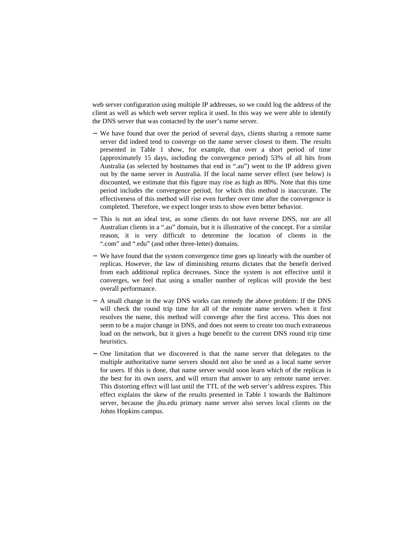web server configuration using multiple IP addresses, so we could log the address of the client as well as which web server replica it used. In this way we were able to identify the DNS server that was contacted by the user's name server.

- − We have found that over the period of several days, clients sharing a remote name server did indeed tend to converge on the name server closest to them. The results presented in Table 1 show, for example, that over a short period of time (approximately 15 days, including the convergence period) 53% of all hits from Australia (as selected by hostnames that end in ".au") went to the IP address given out by the name server in Australia. If the local name server effect (see below) is discounted, we estimate that this figure may rise as high as 80%. Note that this time period includes the convergence period, for which this method is inaccurate. The effectiveness of this method will rise even further over time after the convergence is completed. Therefore, we expect longer tests to show even better behavior.
- − This is not an ideal test, as some clients do not have reverse DNS, nor are all Australian clients in a ".au" domain, but it is illustrative of the concept. For a similar reason, it is very difficult to determine the location of clients in the ".com" and ".edu" (and other three-letter) domains.
- − We have found that the system convergence time goes up linearly with the number of replicas. However, the law of diminishing returns dictates that the benefit derived from each additional replica decreases. Since the system is not effective until it converges, we feel that using a smaller number of replicas will provide the best overall performance.
- − A small change in the way DNS works can remedy the above problem: If the DNS will check the round trip time for all of the remote name servers when it first resolves the name, this method will converge after the first access. This does not seem to be a major change in DNS, and does not seem to create too much extraneous load on the network, but it gives a huge benefit to the current DNS round trip time heuristics.
- − One limitation that we discovered is that the name server that delegates to the multiple authoritative name servers should not also be used as a local name server for users. If this is done, that name server would soon learn which of the replicas is the best for its own users, and will return that answer to any remote name server. This distorting effect will last until the TTL of the web server's address expires. This effect explains the skew of the results presented in Table 1 towards the Baltimore server, because the jhu.edu primary name server also serves local clients on the Johns Hopkins campus.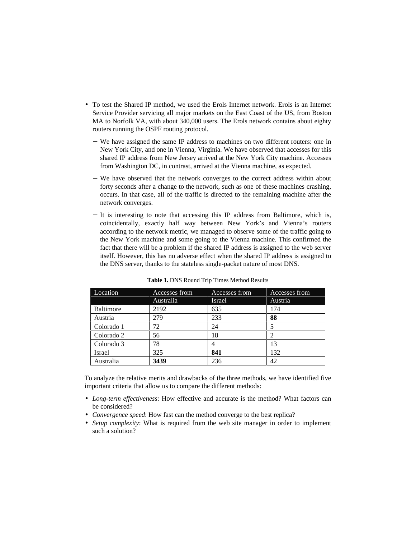- To test the Shared IP method, we used the Erols Internet network. Erols is an Internet Service Provider servicing all major markets on the East Coast of the US, from Boston MA to Norfolk VA, with about 340,000 users. The Erols network contains about eighty routers running the OSPF routing protocol.
	- − We have assigned the same IP address to machines on two different routers: one in New York City, and one in Vienna, Virginia. We have observed that accesses for this shared IP address from New Jersey arrived at the New York City machine. Accesses from Washington DC, in contrast, arrived at the Vienna machine, as expected.
	- − We have observed that the network converges to the correct address within about forty seconds after a change to the network, such as one of these machines crashing, occurs. In that case, all of the traffic is directed to the remaining machine after the network converges.
	- − It is interesting to note that accessing this IP address from Baltimore, which is, coincidentally, exactly half way between New York's and Vienna's routers according to the network metric, we managed to observe some of the traffic going to the New York machine and some going to the Vienna machine. This confirmed the fact that there will be a problem if the shared IP address is assigned to the web server itself. However, this has no adverse effect when the shared IP address is assigned to the DNS server, thanks to the stateless single-packet nature of most DNS.

| Location         | Accesses from | Accesses from | Accesses from |
|------------------|---------------|---------------|---------------|
|                  | Australia     | Israel        | Austria       |
| <b>Baltimore</b> | 2192          | 635           | 174           |
| Austria          | 279           | 233           | 88            |
| Colorado 1       | 72            | 24            |               |
| Colorado 2       | 56            | 18            |               |
| Colorado 3       | 78            |               | 13            |
| Israel           | 325           | 841           | 132           |
| Australia        | 3439          | 236           | 42            |

**Table 1.** DNS Round Trip Times Method Results

To analyze the relative merits and drawbacks of the three methods, we have identified five important criteria that allow us to compare the different methods:

- *Long-term effectiveness*: How effective and accurate is the method? What factors can be considered?
- *Convergence speed*: How fast can the method converge to the best replica?
- *Setup complexity*: What is required from the web site manager in order to implement such a solution?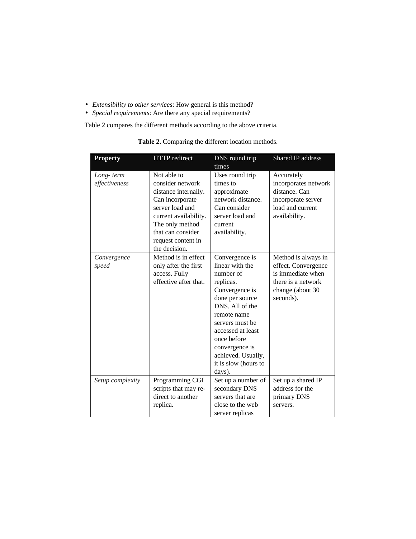- *Extensibility to other services*: How general is this method?
- *Special requirements*: Are there any special requirements?

Table 2 compares the different methods according to the above criteria.

| <b>Property</b>            | HTTP redirect                                                                                                                                                                                         | DNS round trip                                                                                                                                                                                                                                                      | Shared IP address                                                                                                      |
|----------------------------|-------------------------------------------------------------------------------------------------------------------------------------------------------------------------------------------------------|---------------------------------------------------------------------------------------------------------------------------------------------------------------------------------------------------------------------------------------------------------------------|------------------------------------------------------------------------------------------------------------------------|
|                            |                                                                                                                                                                                                       | times                                                                                                                                                                                                                                                               |                                                                                                                        |
| Long-term<br>effectiveness | Not able to<br>consider network<br>distance internally.<br>Can incorporate<br>server load and<br>current availability.<br>The only method<br>that can consider<br>request content in<br>the decision. | Uses round trip<br>times to<br>approximate<br>network distance.<br>Can consider<br>server load and<br>current<br>availability.                                                                                                                                      | Accurately<br>incorporates network<br>distance. Can<br>incorporate server<br>load and current<br>availability.         |
| Convergence<br>speed       | Method is in effect.<br>only after the first<br>access. Fully<br>effective after that.                                                                                                                | Convergence is<br>linear with the<br>number of<br>replicas.<br>Convergence is<br>done per source<br>DNS. All of the<br>remote name<br>servers must be<br>accessed at least<br>once before<br>convergence is<br>achieved. Usually,<br>it is slow (hours to<br>days). | Method is always in<br>effect. Convergence<br>is immediate when<br>there is a network<br>change (about 30<br>seconds). |
| Setup complexity           | Programming CGI<br>scripts that may re-<br>direct to another<br>replica.                                                                                                                              | Set up a number of<br>secondary DNS<br>servers that are<br>close to the web<br>server replicas                                                                                                                                                                      | Set up a shared IP<br>address for the<br>primary DNS<br>servers.                                                       |

**Table 2.** Comparing the different location methods.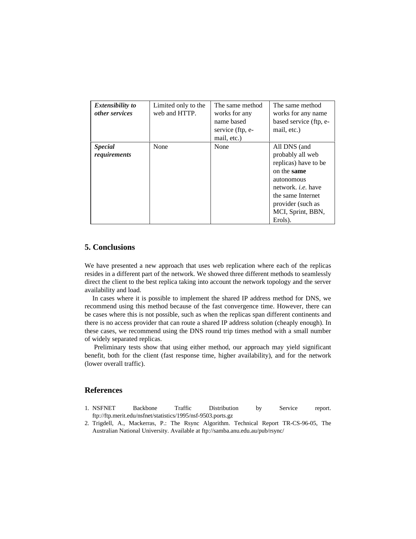| <b>Extensibility to</b><br><i>other services</i> | Limited only to the<br>web and HTTP. | The same method<br>works for any<br>name based<br>service (ftp, e-<br>mail, etc.) | The same method<br>works for any name<br>based service (ftp, e-<br>mail, etc.)                                                                                                               |
|--------------------------------------------------|--------------------------------------|-----------------------------------------------------------------------------------|----------------------------------------------------------------------------------------------------------------------------------------------------------------------------------------------|
| <i>Special</i><br>requirements                   | None                                 | None                                                                              | All DNS (and<br>probably all web<br>replicas) have to be<br>on the same<br>autonomous<br>network, <i>i.e.</i> have<br>the same Internet<br>provider (such as<br>MCI, Sprint, BBN,<br>Erols). |

# **5. Conclusions**

We have presented a new approach that uses web replication where each of the replicas resides in a different part of the network. We showed three different methods to seamlessly direct the client to the best replica taking into account the network topology and the server availability and load.

In cases where it is possible to implement the shared IP address method for DNS, we recommend using this method because of the fast convergence time. However, there can be cases where this is not possible, such as when the replicas span different continents and there is no access provider that can route a shared IP address solution (cheaply enough). In these cases, we recommend using the DNS round trip times method with a small number of widely separated replicas.

Preliminary tests show that using either method, our approach may yield significant benefit, both for the client (fast response time, higher availability), and for the network (lower overall traffic).

# **References**

- 1. NSFNET Backbone Traffic Distribution by Service report. ftp://ftp.merit.edu/nsfnet/statistics/1995/nsf-9503.ports.gz
- 2. Trigdell, A., Mackerras, P.: The Rsync Algorithm. Technical Report TR-CS-96-05, The Australian National University. Available at ftp://samba.anu.edu.au/pub/rsync/